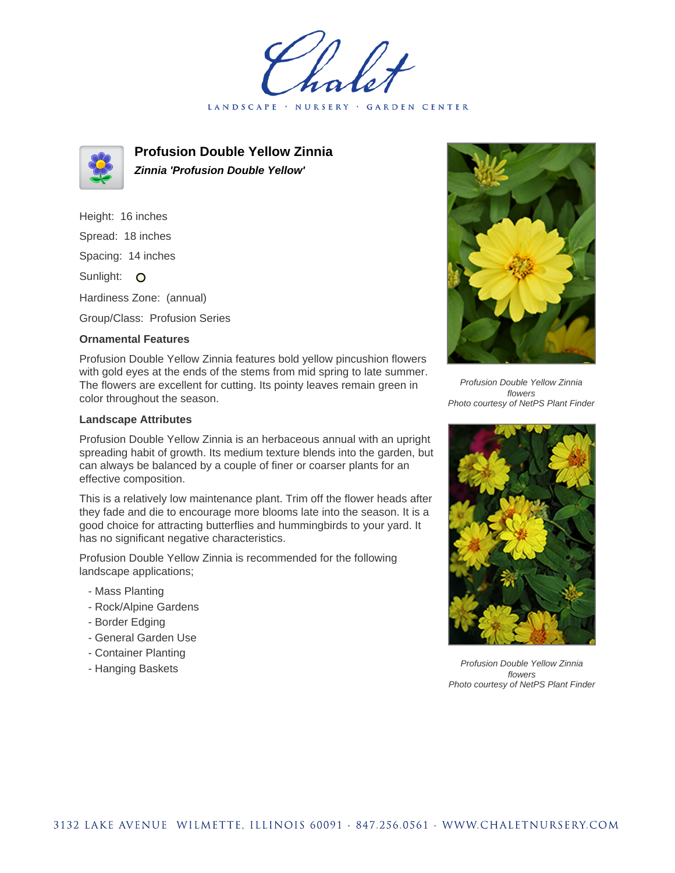LANDSCAPE · NURSERY GARDEN CENTER



**Profusion Double Yellow Zinnia Zinnia 'Profusion Double Yellow'**

Height: 16 inches Spread: 18 inches Spacing: 14 inches Sunlight: O Hardiness Zone: (annual)

Group/Class: Profusion Series

## **Ornamental Features**

Profusion Double Yellow Zinnia features bold yellow pincushion flowers with gold eyes at the ends of the stems from mid spring to late summer. The flowers are excellent for cutting. Its pointy leaves remain green in color throughout the season.

## **Landscape Attributes**

Profusion Double Yellow Zinnia is an herbaceous annual with an upright spreading habit of growth. Its medium texture blends into the garden, but can always be balanced by a couple of finer or coarser plants for an effective composition.

This is a relatively low maintenance plant. Trim off the flower heads after they fade and die to encourage more blooms late into the season. It is a good choice for attracting butterflies and hummingbirds to your yard. It has no significant negative characteristics.

Profusion Double Yellow Zinnia is recommended for the following landscape applications;

- Mass Planting
- Rock/Alpine Gardens
- Border Edging
- General Garden Use
- Container Planting
- Hanging Baskets



Profusion Double Yellow Zinnia flowers Photo courtesy of NetPS Plant Finder



Profusion Double Yellow Zinnia flowers Photo courtesy of NetPS Plant Finder